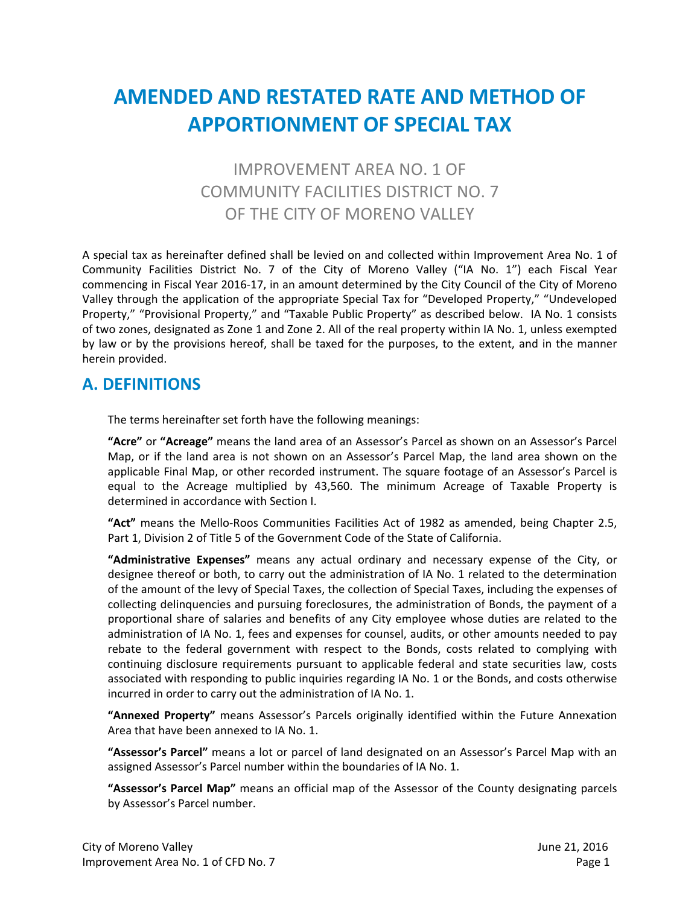# **AMENDED AND RESTATED RATE AND METHOD OF APPORTIONMENT OF SPECIAL TAX**

# IMPROVEMENT AREA NO. 1 OF COMMUNITY FACILITIES DISTRICT NO. 7 OF THE CITY OF MORENO VALLEY

A special tax as hereinafter defined shall be levied on and collected within Improvement Area No. 1 of Community Facilities District No. 7 of the City of Moreno Valley ("IA No. 1") each Fiscal Year commencing in Fiscal Year 2016‐17, in an amount determined by the City Council of the City of Moreno Valley through the application of the appropriate Special Tax for "Developed Property," "Undeveloped Property," "Provisional Property," and "Taxable Public Property" as described below. IA No. 1 consists of two zones, designated as Zone 1 and Zone 2. All of the real property within IA No. 1, unless exempted by law or by the provisions hereof, shall be taxed for the purposes, to the extent, and in the manner herein provided.

### **A. DEFINITIONS**

The terms hereinafter set forth have the following meanings:

**"Acre"** or **"Acreage"** means the land area of an Assessor's Parcel as shown on an Assessor's Parcel Map, or if the land area is not shown on an Assessor's Parcel Map, the land area shown on the applicable Final Map, or other recorded instrument. The square footage of an Assessor's Parcel is equal to the Acreage multiplied by 43,560. The minimum Acreage of Taxable Property is determined in accordance with Section I.

**"Act"** means the Mello‐Roos Communities Facilities Act of 1982 as amended, being Chapter 2.5, Part 1, Division 2 of Title 5 of the Government Code of the State of California.

**"Administrative Expenses"** means any actual ordinary and necessary expense of the City, or designee thereof or both, to carry out the administration of IA No. 1 related to the determination of the amount of the levy of Special Taxes, the collection of Special Taxes, including the expenses of collecting delinquencies and pursuing foreclosures, the administration of Bonds, the payment of a proportional share of salaries and benefits of any City employee whose duties are related to the administration of IA No. 1, fees and expenses for counsel, audits, or other amounts needed to pay rebate to the federal government with respect to the Bonds, costs related to complying with continuing disclosure requirements pursuant to applicable federal and state securities law, costs associated with responding to public inquiries regarding IA No. 1 or the Bonds, and costs otherwise incurred in order to carry out the administration of IA No. 1.

**"Annexed Property"** means Assessor's Parcels originally identified within the Future Annexation Area that have been annexed to IA No. 1.

**"Assessor's Parcel"** means a lot or parcel of land designated on an Assessor's Parcel Map with an assigned Assessor's Parcel number within the boundaries of IA No. 1.

**"Assessor's Parcel Map"** means an official map of the Assessor of the County designating parcels by Assessor's Parcel number.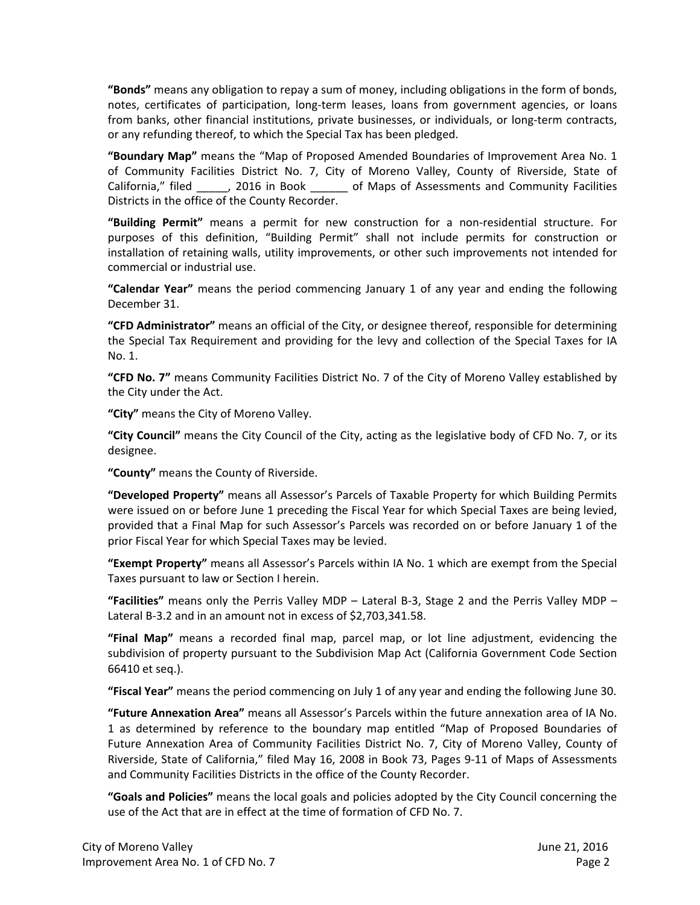**"Bonds"** means any obligation to repay a sum of money, including obligations in the form of bonds, notes, certificates of participation, long‐term leases, loans from government agencies, or loans from banks, other financial institutions, private businesses, or individuals, or long-term contracts, or any refunding thereof, to which the Special Tax has been pledged.

**"Boundary Map"** means the "Map of Proposed Amended Boundaries of Improvement Area No. 1 of Community Facilities District No. 7, City of Moreno Valley, County of Riverside, State of California," filed \_\_\_\_\_, 2016 in Book \_\_\_\_\_\_\_ of Maps of Assessments and Community Facilities Districts in the office of the County Recorder.

**"Building Permit"** means a permit for new construction for a non‐residential structure. For purposes of this definition, "Building Permit" shall not include permits for construction or installation of retaining walls, utility improvements, or other such improvements not intended for commercial or industrial use.

**"Calendar Year"** means the period commencing January 1 of any year and ending the following December 31.

**"CFD Administrator"** means an official of the City, or designee thereof, responsible for determining the Special Tax Requirement and providing for the levy and collection of the Special Taxes for IA No. 1.

**"CFD No. 7"** means Community Facilities District No. 7 of the City of Moreno Valley established by the City under the Act.

**"City"** means the City of Moreno Valley.

**"City Council"** means the City Council of the City, acting as the legislative body of CFD No. 7, or its designee.

**"County"** means the County of Riverside.

**"Developed Property"** means all Assessor's Parcels of Taxable Property for which Building Permits were issued on or before June 1 preceding the Fiscal Year for which Special Taxes are being levied, provided that a Final Map for such Assessor's Parcels was recorded on or before January 1 of the prior Fiscal Year for which Special Taxes may be levied.

**"Exempt Property"** means all Assessor's Parcels within IA No. 1 which are exempt from the Special Taxes pursuant to law or Section I herein.

**"Facilities"** means only the Perris Valley MDP – Lateral B‐3, Stage 2 and the Perris Valley MDP – Lateral B-3.2 and in an amount not in excess of \$2,703,341.58.

**"Final Map"** means a recorded final map, parcel map, or lot line adjustment, evidencing the subdivision of property pursuant to the Subdivision Map Act (California Government Code Section 66410 et seq.).

**"Fiscal Year"** means the period commencing on July 1 of any year and ending the following June 30.

**"Future Annexation Area"** means all Assessor's Parcels within the future annexation area of IA No. 1 as determined by reference to the boundary map entitled "Map of Proposed Boundaries of Future Annexation Area of Community Facilities District No. 7, City of Moreno Valley, County of Riverside, State of California," filed May 16, 2008 in Book 73, Pages 9‐11 of Maps of Assessments and Community Facilities Districts in the office of the County Recorder.

**"Goals and Policies"** means the local goals and policies adopted by the City Council concerning the use of the Act that are in effect at the time of formation of CFD No. 7.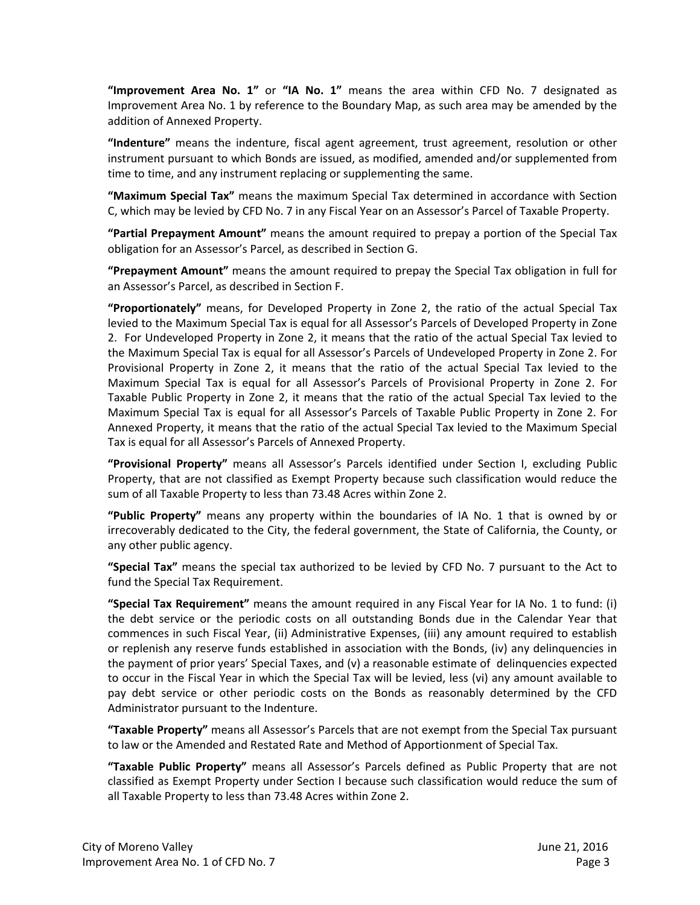**"Improvement Area No. 1"** or **"IA No. 1"** means the area within CFD No. 7 designated as Improvement Area No. 1 by reference to the Boundary Map, as such area may be amended by the addition of Annexed Property.

**"Indenture"** means the indenture, fiscal agent agreement, trust agreement, resolution or other instrument pursuant to which Bonds are issued, as modified, amended and/or supplemented from time to time, and any instrument replacing or supplementing the same.

**"Maximum Special Tax"** means the maximum Special Tax determined in accordance with Section C, which may be levied by CFD No. 7 in any Fiscal Year on an Assessor's Parcel of Taxable Property.

**"Partial Prepayment Amount"** means the amount required to prepay a portion of the Special Tax obligation for an Assessor's Parcel, as described in Section G.

**"Prepayment Amount"** means the amount required to prepay the Special Tax obligation in full for an Assessor's Parcel, as described in Section F.

**"Proportionately"** means, for Developed Property in Zone 2, the ratio of the actual Special Tax levied to the Maximum Special Tax is equal for all Assessor's Parcels of Developed Property in Zone 2. For Undeveloped Property in Zone 2, it means that the ratio of the actual Special Tax levied to the Maximum Special Tax is equal for all Assessor's Parcels of Undeveloped Property in Zone 2. For Provisional Property in Zone 2, it means that the ratio of the actual Special Tax levied to the Maximum Special Tax is equal for all Assessor's Parcels of Provisional Property in Zone 2. For Taxable Public Property in Zone 2, it means that the ratio of the actual Special Tax levied to the Maximum Special Tax is equal for all Assessor's Parcels of Taxable Public Property in Zone 2. For Annexed Property, it means that the ratio of the actual Special Tax levied to the Maximum Special Tax is equal for all Assessor's Parcels of Annexed Property.

**"Provisional Property"** means all Assessor's Parcels identified under Section I, excluding Public Property, that are not classified as Exempt Property because such classification would reduce the sum of all Taxable Property to less than 73.48 Acres within Zone 2.

**"Public Property"** means any property within the boundaries of IA No. 1 that is owned by or irrecoverably dedicated to the City, the federal government, the State of California, the County, or any other public agency.

**"Special Tax"** means the special tax authorized to be levied by CFD No. 7 pursuant to the Act to fund the Special Tax Requirement.

**"Special Tax Requirement"** means the amount required in any Fiscal Year for IA No. 1 to fund: (i) the debt service or the periodic costs on all outstanding Bonds due in the Calendar Year that commences in such Fiscal Year, (ii) Administrative Expenses, (iii) any amount required to establish or replenish any reserve funds established in association with the Bonds, (iv) any delinquencies in the payment of prior years' Special Taxes, and (v) a reasonable estimate of delinquencies expected to occur in the Fiscal Year in which the Special Tax will be levied, less (vi) any amount available to pay debt service or other periodic costs on the Bonds as reasonably determined by the CFD Administrator pursuant to the Indenture.

**"Taxable Property"** means all Assessor's Parcels that are not exempt from the Special Tax pursuant to law or the Amended and Restated Rate and Method of Apportionment of Special Tax.

**"Taxable Public Property"** means all Assessor's Parcels defined as Public Property that are not classified as Exempt Property under Section I because such classification would reduce the sum of all Taxable Property to less than 73.48 Acres within Zone 2.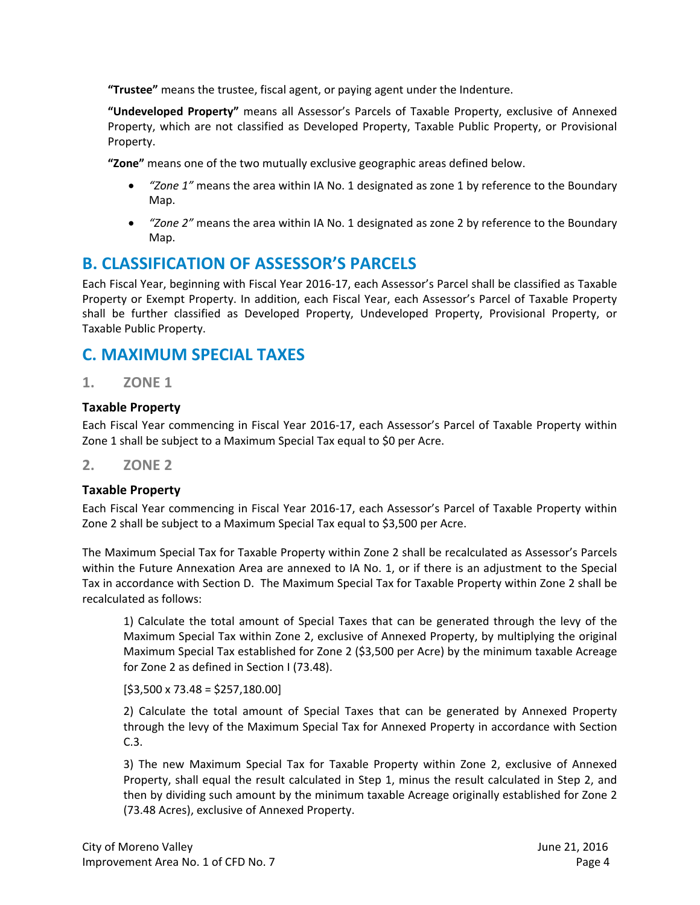**"Trustee"** means the trustee, fiscal agent, or paying agent under the Indenture.

**"Undeveloped Property"** means all Assessor's Parcels of Taxable Property, exclusive of Annexed Property, which are not classified as Developed Property, Taxable Public Property, or Provisional Property.

**"Zone"** means one of the two mutually exclusive geographic areas defined below.

- *"Zone 1"* means the area within IA No. 1 designated as zone 1 by reference to the Boundary Map.
- *"Zone 2"* means the area within IA No. 1 designated as zone 2 by reference to the Boundary Map.

### **B. CLASSIFICATION OF ASSESSOR'S PARCELS**

Each Fiscal Year, beginning with Fiscal Year 2016‐17, each Assessor's Parcel shall be classified as Taxable Property or Exempt Property. In addition, each Fiscal Year, each Assessor's Parcel of Taxable Property shall be further classified as Developed Property, Undeveloped Property, Provisional Property, or Taxable Public Property.

# **C. MAXIMUM SPECIAL TAXES**

**1. ZONE 1** 

#### **Taxable Property**

Each Fiscal Year commencing in Fiscal Year 2016‐17, each Assessor's Parcel of Taxable Property within Zone 1 shall be subject to a Maximum Special Tax equal to \$0 per Acre.

#### **2. ZONE 2**

#### **Taxable Property**

Each Fiscal Year commencing in Fiscal Year 2016‐17, each Assessor's Parcel of Taxable Property within Zone 2 shall be subject to a Maximum Special Tax equal to \$3,500 per Acre.

The Maximum Special Tax for Taxable Property within Zone 2 shall be recalculated as Assessor's Parcels within the Future Annexation Area are annexed to IA No. 1, or if there is an adjustment to the Special Tax in accordance with Section D. The Maximum Special Tax for Taxable Property within Zone 2 shall be recalculated as follows:

1) Calculate the total amount of Special Taxes that can be generated through the levy of the Maximum Special Tax within Zone 2, exclusive of Annexed Property, by multiplying the original Maximum Special Tax established for Zone 2 (\$3,500 per Acre) by the minimum taxable Acreage for Zone 2 as defined in Section I (73.48).

 $[$3,500 \times 73.48 = $257,180.00]$ 

2) Calculate the total amount of Special Taxes that can be generated by Annexed Property through the levy of the Maximum Special Tax for Annexed Property in accordance with Section C.3.

3) The new Maximum Special Tax for Taxable Property within Zone 2, exclusive of Annexed Property, shall equal the result calculated in Step 1, minus the result calculated in Step 2, and then by dividing such amount by the minimum taxable Acreage originally established for Zone 2 (73.48 Acres), exclusive of Annexed Property.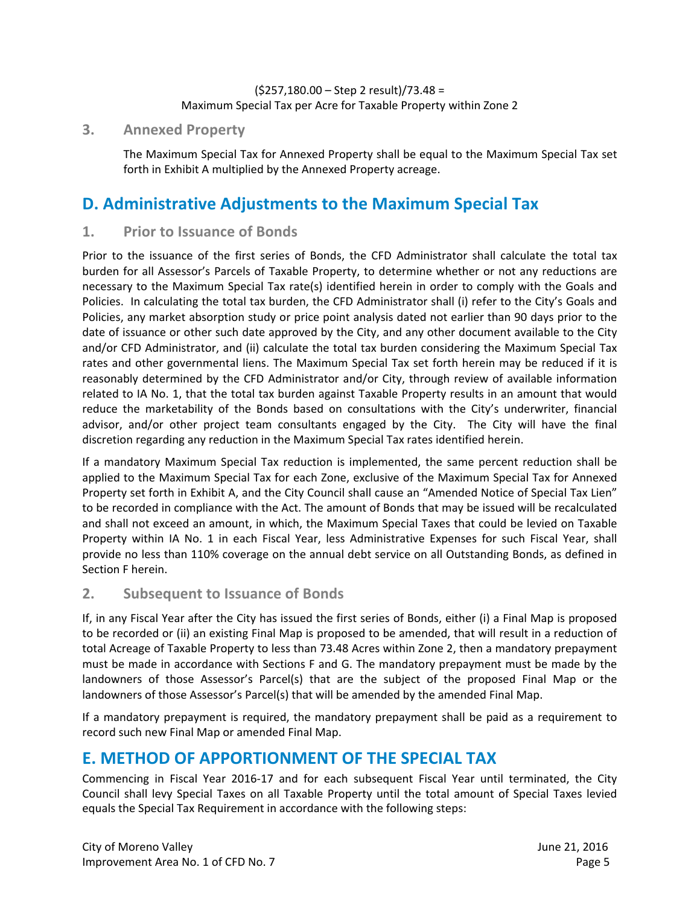#### (\$257,180.00 – Step 2 result)/73.48 = Maximum Special Tax per Acre for Taxable Property within Zone 2

#### **3. Annexed Property**

The Maximum Special Tax for Annexed Property shall be equal to the Maximum Special Tax set forth in Exhibit A multiplied by the Annexed Property acreage.

# **D. Administrative Adjustments to the Maximum Special Tax**

#### **1. Prior to Issuance of Bonds**

Prior to the issuance of the first series of Bonds, the CFD Administrator shall calculate the total tax burden for all Assessor's Parcels of Taxable Property, to determine whether or not any reductions are necessary to the Maximum Special Tax rate(s) identified herein in order to comply with the Goals and Policies. In calculating the total tax burden, the CFD Administrator shall (i) refer to the City's Goals and Policies, any market absorption study or price point analysis dated not earlier than 90 days prior to the date of issuance or other such date approved by the City, and any other document available to the City and/or CFD Administrator, and (ii) calculate the total tax burden considering the Maximum Special Tax rates and other governmental liens. The Maximum Special Tax set forth herein may be reduced if it is reasonably determined by the CFD Administrator and/or City, through review of available information related to IA No. 1, that the total tax burden against Taxable Property results in an amount that would reduce the marketability of the Bonds based on consultations with the City's underwriter, financial advisor, and/or other project team consultants engaged by the City. The City will have the final discretion regarding any reduction in the Maximum Special Tax rates identified herein.

If a mandatory Maximum Special Tax reduction is implemented, the same percent reduction shall be applied to the Maximum Special Tax for each Zone, exclusive of the Maximum Special Tax for Annexed Property set forth in Exhibit A, and the City Council shall cause an "Amended Notice of Special Tax Lien" to be recorded in compliance with the Act. The amount of Bonds that may be issued will be recalculated and shall not exceed an amount, in which, the Maximum Special Taxes that could be levied on Taxable Property within IA No. 1 in each Fiscal Year, less Administrative Expenses for such Fiscal Year, shall provide no less than 110% coverage on the annual debt service on all Outstanding Bonds, as defined in Section F herein.

#### **2. Subsequent to Issuance of Bonds**

If, in any Fiscal Year after the City has issued the first series of Bonds, either (i) a Final Map is proposed to be recorded or (ii) an existing Final Map is proposed to be amended, that will result in a reduction of total Acreage of Taxable Property to less than 73.48 Acres within Zone 2, then a mandatory prepayment must be made in accordance with Sections F and G. The mandatory prepayment must be made by the landowners of those Assessor's Parcel(s) that are the subject of the proposed Final Map or the landowners of those Assessor's Parcel(s) that will be amended by the amended Final Map.

If a mandatory prepayment is required, the mandatory prepayment shall be paid as a requirement to record such new Final Map or amended Final Map.

# **E. METHOD OF APPORTIONMENT OF THE SPECIAL TAX**

Commencing in Fiscal Year 2016‐17 and for each subsequent Fiscal Year until terminated, the City Council shall levy Special Taxes on all Taxable Property until the total amount of Special Taxes levied equals the Special Tax Requirement in accordance with the following steps: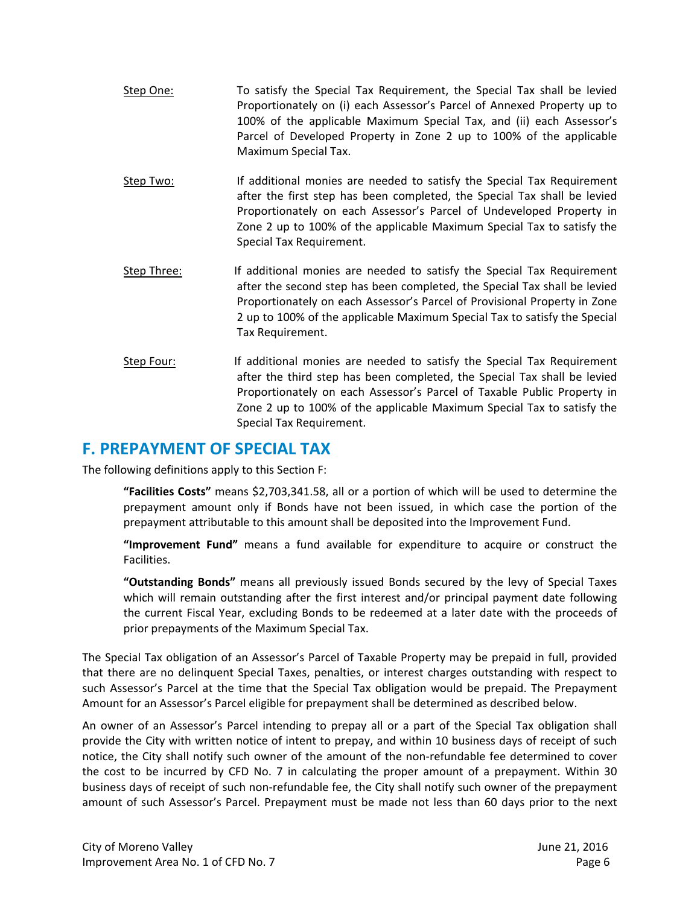- Step One: To satisfy the Special Tax Requirement, the Special Tax shall be levied Proportionately on (i) each Assessor's Parcel of Annexed Property up to 100% of the applicable Maximum Special Tax, and (ii) each Assessor's Parcel of Developed Property in Zone 2 up to 100% of the applicable Maximum Special Tax.
- Step Two: If additional monies are needed to satisfy the Special Tax Requirement after the first step has been completed, the Special Tax shall be levied Proportionately on each Assessor's Parcel of Undeveloped Property in Zone 2 up to 100% of the applicable Maximum Special Tax to satisfy the Special Tax Requirement.
- Step Three: If additional monies are needed to satisfy the Special Tax Requirement after the second step has been completed, the Special Tax shall be levied Proportionately on each Assessor's Parcel of Provisional Property in Zone 2 up to 100% of the applicable Maximum Special Tax to satisfy the Special Tax Requirement.
- Step Four: If additional monies are needed to satisfy the Special Tax Requirement after the third step has been completed, the Special Tax shall be levied Proportionately on each Assessor's Parcel of Taxable Public Property in Zone 2 up to 100% of the applicable Maximum Special Tax to satisfy the Special Tax Requirement.

### **F. PREPAYMENT OF SPECIAL TAX**

The following definitions apply to this Section F:

**"Facilities Costs"** means \$2,703,341.58, all or a portion of which will be used to determine the prepayment amount only if Bonds have not been issued, in which case the portion of the prepayment attributable to this amount shall be deposited into the Improvement Fund.

**"Improvement Fund"** means a fund available for expenditure to acquire or construct the Facilities.

**"Outstanding Bonds"** means all previously issued Bonds secured by the levy of Special Taxes which will remain outstanding after the first interest and/or principal payment date following the current Fiscal Year, excluding Bonds to be redeemed at a later date with the proceeds of prior prepayments of the Maximum Special Tax.

The Special Tax obligation of an Assessor's Parcel of Taxable Property may be prepaid in full, provided that there are no delinquent Special Taxes, penalties, or interest charges outstanding with respect to such Assessor's Parcel at the time that the Special Tax obligation would be prepaid. The Prepayment Amount for an Assessor's Parcel eligible for prepayment shall be determined as described below.

An owner of an Assessor's Parcel intending to prepay all or a part of the Special Tax obligation shall provide the City with written notice of intent to prepay, and within 10 business days of receipt of such notice, the City shall notify such owner of the amount of the non-refundable fee determined to cover the cost to be incurred by CFD No. 7 in calculating the proper amount of a prepayment. Within 30 business days of receipt of such non‐refundable fee, the City shall notify such owner of the prepayment amount of such Assessor's Parcel. Prepayment must be made not less than 60 days prior to the next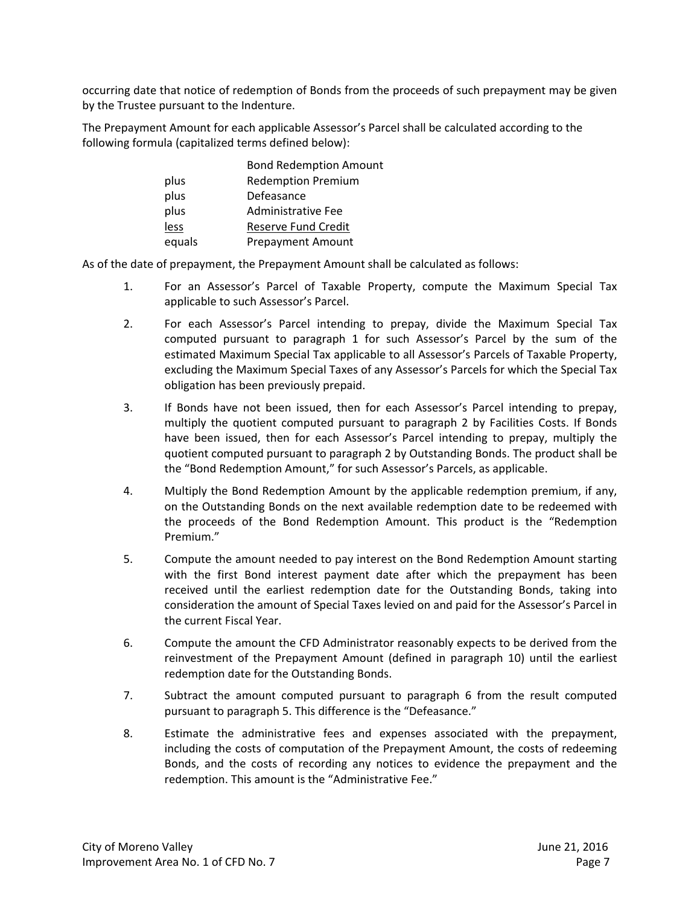occurring date that notice of redemption of Bonds from the proceeds of such prepayment may be given by the Trustee pursuant to the Indenture.

The Prepayment Amount for each applicable Assessor's Parcel shall be calculated according to the following formula (capitalized terms defined below):

|        | <b>Bond Redemption Amount</b> |
|--------|-------------------------------|
| plus   | <b>Redemption Premium</b>     |
| plus   | Defeasance                    |
| plus   | Administrative Fee            |
| less   | Reserve Fund Credit           |
| equals | <b>Prepayment Amount</b>      |

As of the date of prepayment, the Prepayment Amount shall be calculated as follows:

- 1. For an Assessor's Parcel of Taxable Property, compute the Maximum Special Tax applicable to such Assessor's Parcel.
- 2. For each Assessor's Parcel intending to prepay, divide the Maximum Special Tax computed pursuant to paragraph 1 for such Assessor's Parcel by the sum of the estimated Maximum Special Tax applicable to all Assessor's Parcels of Taxable Property, excluding the Maximum Special Taxes of any Assessor's Parcels for which the Special Tax obligation has been previously prepaid.
- 3. If Bonds have not been issued, then for each Assessor's Parcel intending to prepay, multiply the quotient computed pursuant to paragraph 2 by Facilities Costs. If Bonds have been issued, then for each Assessor's Parcel intending to prepay, multiply the quotient computed pursuant to paragraph 2 by Outstanding Bonds. The product shall be the "Bond Redemption Amount," for such Assessor's Parcels, as applicable.
- 4. Multiply the Bond Redemption Amount by the applicable redemption premium, if any, on the Outstanding Bonds on the next available redemption date to be redeemed with the proceeds of the Bond Redemption Amount. This product is the "Redemption Premium."
- 5. Compute the amount needed to pay interest on the Bond Redemption Amount starting with the first Bond interest payment date after which the prepayment has been received until the earliest redemption date for the Outstanding Bonds, taking into consideration the amount of Special Taxes levied on and paid for the Assessor's Parcel in the current Fiscal Year.
- 6. Compute the amount the CFD Administrator reasonably expects to be derived from the reinvestment of the Prepayment Amount (defined in paragraph 10) until the earliest redemption date for the Outstanding Bonds.
- 7. Subtract the amount computed pursuant to paragraph 6 from the result computed pursuant to paragraph 5. This difference is the "Defeasance."
- 8. Estimate the administrative fees and expenses associated with the prepayment, including the costs of computation of the Prepayment Amount, the costs of redeeming Bonds, and the costs of recording any notices to evidence the prepayment and the redemption. This amount is the "Administrative Fee."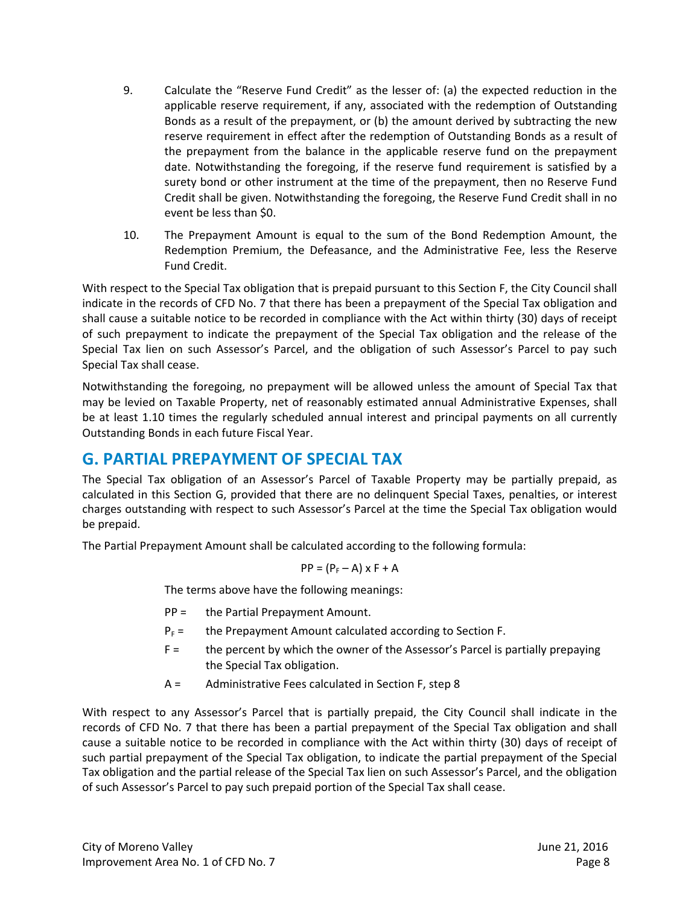- 9. Calculate the "Reserve Fund Credit" as the lesser of: (a) the expected reduction in the applicable reserve requirement, if any, associated with the redemption of Outstanding Bonds as a result of the prepayment, or (b) the amount derived by subtracting the new reserve requirement in effect after the redemption of Outstanding Bonds as a result of the prepayment from the balance in the applicable reserve fund on the prepayment date. Notwithstanding the foregoing, if the reserve fund requirement is satisfied by a surety bond or other instrument at the time of the prepayment, then no Reserve Fund Credit shall be given. Notwithstanding the foregoing, the Reserve Fund Credit shall in no event be less than \$0.
- 10. The Prepayment Amount is equal to the sum of the Bond Redemption Amount, the Redemption Premium, the Defeasance, and the Administrative Fee, less the Reserve Fund Credit.

With respect to the Special Tax obligation that is prepaid pursuant to this Section F, the City Council shall indicate in the records of CFD No. 7 that there has been a prepayment of the Special Tax obligation and shall cause a suitable notice to be recorded in compliance with the Act within thirty (30) days of receipt of such prepayment to indicate the prepayment of the Special Tax obligation and the release of the Special Tax lien on such Assessor's Parcel, and the obligation of such Assessor's Parcel to pay such Special Tax shall cease.

Notwithstanding the foregoing, no prepayment will be allowed unless the amount of Special Tax that may be levied on Taxable Property, net of reasonably estimated annual Administrative Expenses, shall be at least 1.10 times the regularly scheduled annual interest and principal payments on all currently Outstanding Bonds in each future Fiscal Year.

### **G. PARTIAL PREPAYMENT OF SPECIAL TAX**

The Special Tax obligation of an Assessor's Parcel of Taxable Property may be partially prepaid, as calculated in this Section G, provided that there are no delinquent Special Taxes, penalties, or interest charges outstanding with respect to such Assessor's Parcel at the time the Special Tax obligation would be prepaid.

The Partial Prepayment Amount shall be calculated according to the following formula:

$$
PP = (P_F - A) \times F + A
$$

The terms above have the following meanings:

- PP = the Partial Prepayment Amount.
- $P_F =$  the Prepayment Amount calculated according to Section F.
- F = the percent by which the owner of the Assessor's Parcel is partially prepaying the Special Tax obligation.
- A = Administrative Fees calculated in Section F, step 8

With respect to any Assessor's Parcel that is partially prepaid, the City Council shall indicate in the records of CFD No. 7 that there has been a partial prepayment of the Special Tax obligation and shall cause a suitable notice to be recorded in compliance with the Act within thirty (30) days of receipt of such partial prepayment of the Special Tax obligation, to indicate the partial prepayment of the Special Tax obligation and the partial release of the Special Tax lien on such Assessor's Parcel, and the obligation of such Assessor's Parcel to pay such prepaid portion of the Special Tax shall cease.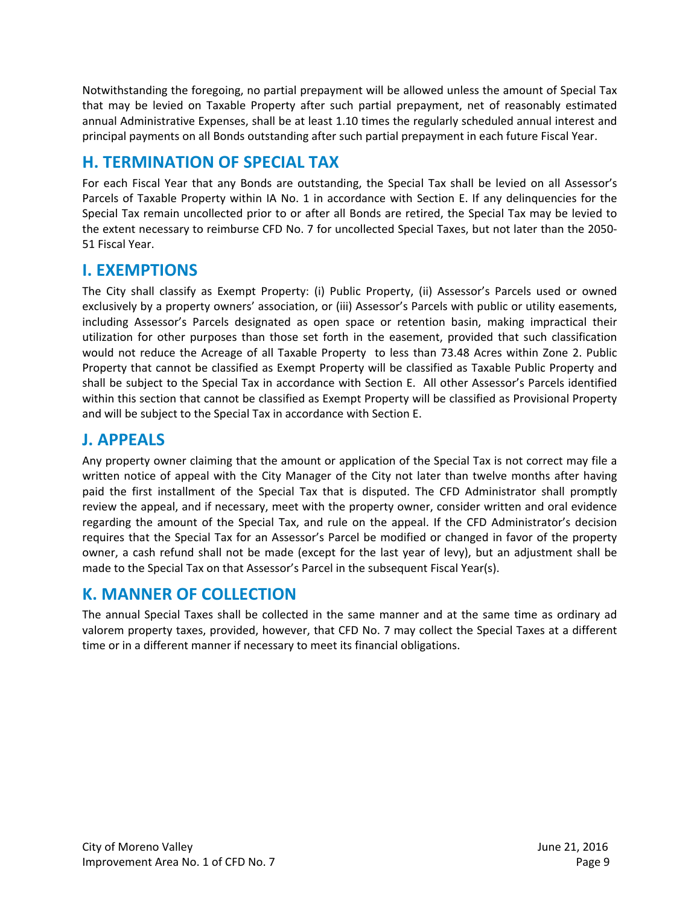Notwithstanding the foregoing, no partial prepayment will be allowed unless the amount of Special Tax that may be levied on Taxable Property after such partial prepayment, net of reasonably estimated annual Administrative Expenses, shall be at least 1.10 times the regularly scheduled annual interest and principal payments on all Bonds outstanding after such partial prepayment in each future Fiscal Year.

# **H. TERMINATION OF SPECIAL TAX**

For each Fiscal Year that any Bonds are outstanding, the Special Tax shall be levied on all Assessor's Parcels of Taxable Property within IA No. 1 in accordance with Section E. If any delinquencies for the Special Tax remain uncollected prior to or after all Bonds are retired, the Special Tax may be levied to the extent necessary to reimburse CFD No. 7 for uncollected Special Taxes, but not later than the 2050‐ 51 Fiscal Year.

### **I. EXEMPTIONS**

The City shall classify as Exempt Property: (i) Public Property, (ii) Assessor's Parcels used or owned exclusively by a property owners' association, or (iii) Assessor's Parcels with public or utility easements, including Assessor's Parcels designated as open space or retention basin, making impractical their utilization for other purposes than those set forth in the easement, provided that such classification would not reduce the Acreage of all Taxable Property to less than 73.48 Acres within Zone 2. Public Property that cannot be classified as Exempt Property will be classified as Taxable Public Property and shall be subject to the Special Tax in accordance with Section E. All other Assessor's Parcels identified within this section that cannot be classified as Exempt Property will be classified as Provisional Property and will be subject to the Special Tax in accordance with Section E.

### **J. APPEALS**

Any property owner claiming that the amount or application of the Special Tax is not correct may file a written notice of appeal with the City Manager of the City not later than twelve months after having paid the first installment of the Special Tax that is disputed. The CFD Administrator shall promptly review the appeal, and if necessary, meet with the property owner, consider written and oral evidence regarding the amount of the Special Tax, and rule on the appeal. If the CFD Administrator's decision requires that the Special Tax for an Assessor's Parcel be modified or changed in favor of the property owner, a cash refund shall not be made (except for the last year of levy), but an adjustment shall be made to the Special Tax on that Assessor's Parcel in the subsequent Fiscal Year(s).

### **K. MANNER OF COLLECTION**

The annual Special Taxes shall be collected in the same manner and at the same time as ordinary ad valorem property taxes, provided, however, that CFD No. 7 may collect the Special Taxes at a different time or in a different manner if necessary to meet its financial obligations.